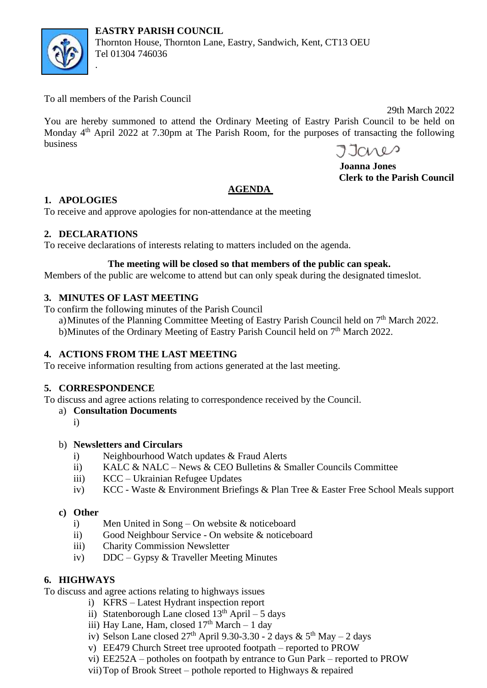



Thornton House, Thornton Lane, Eastry, Sandwich, Kent, CT13 OEU Tel 01304 746036

To all members of the Parish Council

.

 29th March 2022 You are hereby summoned to attend the Ordinary Meeting of Eastry Parish Council to be held on Monday 4<sup>th</sup> April 2022 at 7.30pm at The Parish Room, for the purposes of transacting the following business

 **Joanna Jones Clerk to the Parish Council**

## **AGENDA**

## **1. APOLOGIES**

To receive and approve apologies for non-attendance at the meeting

# **2. DECLARATIONS**

To receive declarations of interests relating to matters included on the agenda.

# **The meeting will be closed so that members of the public can speak.**

Members of the public are welcome to attend but can only speak during the designated timeslot.

# **3. MINUTES OF LAST MEETING**

To confirm the following minutes of the Parish Council

a) Minutes of the Planning Committee Meeting of Eastry Parish Council held on 7<sup>th</sup> March 2022. b)Minutes of the Ordinary Meeting of Eastry Parish Council held on 7<sup>th</sup> March 2022.

# **4. ACTIONS FROM THE LAST MEETING**

To receive information resulting from actions generated at the last meeting.

## **5. CORRESPONDENCE**

To discuss and agree actions relating to correspondence received by the Council.

- a) **Consultation Documents** 
	- i)

## b) **Newsletters and Circulars**

- i) Neighbourhood Watch updates & Fraud Alerts
- ii) KALC & NALC News & CEO Bulletins & Smaller Councils Committee
- iii) KCC Ukrainian Refugee Updates
- iv) KCC Waste & Environment Briefings & Plan Tree & Easter Free School Meals support

# **c) Other**

- i) Men United in Song On website & noticeboard
- ii) Good Neighbour Service On website & noticeboard
- iii) Charity Commission Newsletter
- iv) DDC Gypsy & Traveller Meeting Minutes

# **6. HIGHWAYS**

To discuss and agree actions relating to highways issues

- i) KFRS Latest Hydrant inspection report
- ii) Statenborough Lane closed  $13<sup>th</sup>$  April 5 days
- iii) Hay Lane, Ham, closed  $17<sup>th</sup>$  March 1 day
- iv) Selson Lane closed  $27<sup>th</sup>$  April 9.30-3.30 2 days &  $5<sup>th</sup>$  May 2 days
- v) EE479 Church Street tree uprooted footpath reported to PROW
- vi) EE252A potholes on footpath by entrance to Gun Park reported to PROW
- vii)Top of Brook Street pothole reported to Highways & repaired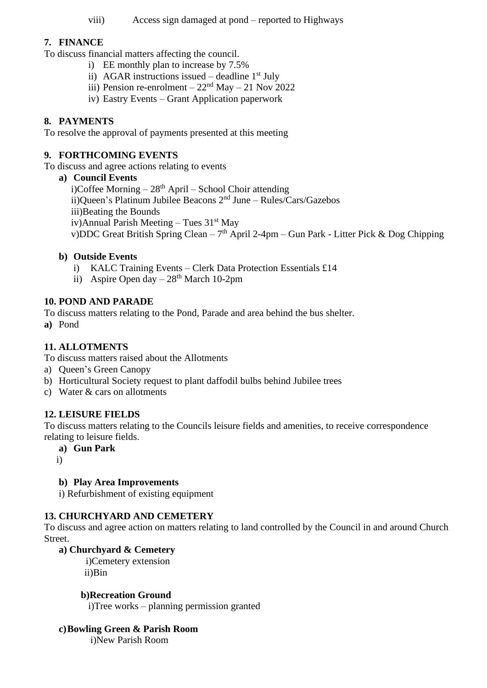viii) Access sign damaged at pond – reported to Highways

### **7. FINANCE**

To discuss financial matters affecting the council.

- i) EE monthly plan to increase by 7.5%
	- ii) AGAR instructions issued deadline  $1<sup>st</sup>$  July
	- iii) Pension re-enrolment  $22<sup>nd</sup>$  May 21 Nov 2022
- iv) Eastry Events Grant Application paperwork

### **8. PAYMENTS**

To resolve the approval of payments presented at this meeting

#### **9. FORTHCOMING EVENTS**

To discuss and agree actions relating to events

#### **a) Council Events**

i)Coffee Morning  $-28<sup>th</sup>$  April – School Choir attending ii)Queen's Platinum Jubilee Beacons 2nd June – Rules/Cars/Gazebos iii)Beating the Bounds iv)Annual Parish Meeting – Tues  $31<sup>st</sup>$  May v)DDC Great British Spring Clean –  $7<sup>th</sup>$  April 2-4pm – Gun Park - Litter Pick & Dog Chipping

### **b) Outside Events**

- i) KALC Training Events Clerk Data Protection Essentials £14
- ii) Aspire Open day  $-28<sup>th</sup>$  March 10-2pm

### **10. POND AND PARADE**

To discuss matters relating to the Pond, Parade and area behind the bus shelter.

**a)** Pond

### **11. ALLOTMENTS**

To discuss matters raised about the Allotments

- a) Queen's Green Canopy
- b) Horticultural Society request to plant daffodil bulbs behind Jubilee trees
- c) Water & cars on allotments

#### **12. LEISURE FIELDS**

To discuss matters relating to the Councils leisure fields and amenities, to receive correspondence relating to leisure fields.

- **a) Gun Park**
- i)

### **b) Play Area Improvements**

i) Refurbishment of existing equipment

### **13. CHURCHYARD AND CEMETERY**

To discuss and agree action on matters relating to land controlled by the Council in and around Church Street.

#### **a) Churchyard & Cemetery**

 i)Cemetery extension ii)Bin

#### **b)Recreation Ground**

i)Tree works – planning permission granted

### **c)Bowling Green & Parish Room**

i)New Parish Room